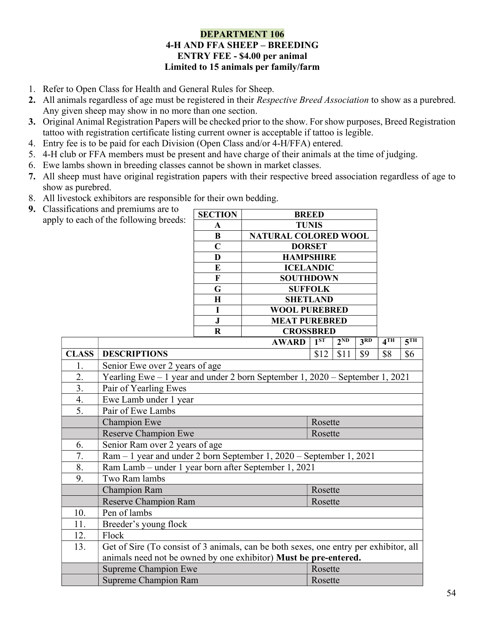#### DEPARTMENT 106 4-H AND FFA SHEEP – BREEDING ENTRY FEE - \$4.00 per animal Limited to 15 animals per family/farm

- 1. Refer to Open Class for Health and General Rules for Sheep.
- 2. All animals regardless of age must be registered in their *Respective Breed Association* to show as a purebred. Any given sheep may show in no more than one section.
- 3. Original Animal Registration Papers will be checked prior to the show. For show purposes, Breed Registration tattoo with registration certificate listing current owner is acceptable if tattoo is legible.
- 4. Entry fee is to be paid for each Division (Open Class and/or 4-H/FFA) entered.
- 5. 4-H club or FFA members must be present and have charge of their animals at the time of judging.
- 6. Ewe lambs shown in breeding classes cannot be shown in market classes.
- 7. All sheep must have original registration papers with their respective breed association regardless of age to show as purebred.
- 8. All livestock exhibitors are responsible for their own bedding.
- 9. Classifications and premiums are to apply to each of the following breeds:

| <b>SECTION</b> | <b>BREED</b>                |
|----------------|-----------------------------|
| A              | <b>TUNIS</b>                |
| B              | <b>NATURAL COLORED WOOL</b> |
| C              | <b>DORSET</b>               |
| D              | <b>HAMPSHIRE</b>            |
| E              | <b>ICELANDIC</b>            |
| F              | <b>SOUTHDOWN</b>            |
| G              | <b>SUFFOLK</b>              |
| H              | <b>SHETLAND</b>             |
|                | <b>WOOL PUREBRED</b>        |
| J.             | <b>MEAT PUREBRED</b>        |
| R              | <b>CROSSBRED</b>            |

|              | <b>AWARD</b>                                                                          | $1^{ST}$ | $2^{ND}$ | 3 <sup>RD</sup> | 4 <sup>TH</sup> | 5 <sup>TH</sup> |  |  |  |  |  |
|--------------|---------------------------------------------------------------------------------------|----------|----------|-----------------|-----------------|-----------------|--|--|--|--|--|
| <b>CLASS</b> | <b>DESCRIPTIONS</b>                                                                   | \$12     | \$11     | \$9             | \$8             | \$6             |  |  |  |  |  |
| 1.           | Senior Ewe over 2 years of age                                                        |          |          |                 |                 |                 |  |  |  |  |  |
| 2.           | Yearling Ewe – 1 year and under 2 born September 1, 2020 – September 1, 2021          |          |          |                 |                 |                 |  |  |  |  |  |
| 3.           | Pair of Yearling Ewes                                                                 |          |          |                 |                 |                 |  |  |  |  |  |
| 4.           | Ewe Lamb under 1 year                                                                 |          |          |                 |                 |                 |  |  |  |  |  |
| 5.           | Pair of Ewe Lambs                                                                     |          |          |                 |                 |                 |  |  |  |  |  |
|              | <b>Champion Ewe</b><br>Rosette                                                        |          |          |                 |                 |                 |  |  |  |  |  |
|              | <b>Reserve Champion Ewe</b><br>Rosette                                                |          |          |                 |                 |                 |  |  |  |  |  |
| 6.           | Senior Ram over 2 years of age                                                        |          |          |                 |                 |                 |  |  |  |  |  |
| 7.           | Ram – 1 year and under 2 born September 1, 2020 – September 1, 2021                   |          |          |                 |                 |                 |  |  |  |  |  |
| 8.           | Ram Lamb – under 1 year born after September 1, 2021                                  |          |          |                 |                 |                 |  |  |  |  |  |
| 9.           | Two Ram lambs                                                                         |          |          |                 |                 |                 |  |  |  |  |  |
|              | Champion Ram<br>Rosette                                                               |          |          |                 |                 |                 |  |  |  |  |  |
|              | <b>Reserve Champion Ram</b>                                                           | Rosette  |          |                 |                 |                 |  |  |  |  |  |
| 10.          | Pen of lambs                                                                          |          |          |                 |                 |                 |  |  |  |  |  |
| 11.          | Breeder's young flock                                                                 |          |          |                 |                 |                 |  |  |  |  |  |
| 12.          | Flock                                                                                 |          |          |                 |                 |                 |  |  |  |  |  |
| 13.          | Get of Sire (To consist of 3 animals, can be both sexes, one entry per exhibitor, all |          |          |                 |                 |                 |  |  |  |  |  |
|              | animals need not be owned by one exhibitor) Must be pre-entered.                      |          |          |                 |                 |                 |  |  |  |  |  |
|              | <b>Supreme Champion Ewe</b>                                                           | Rosette  |          |                 |                 |                 |  |  |  |  |  |
|              | <b>Supreme Champion Ram</b><br>Rosette                                                |          |          |                 |                 |                 |  |  |  |  |  |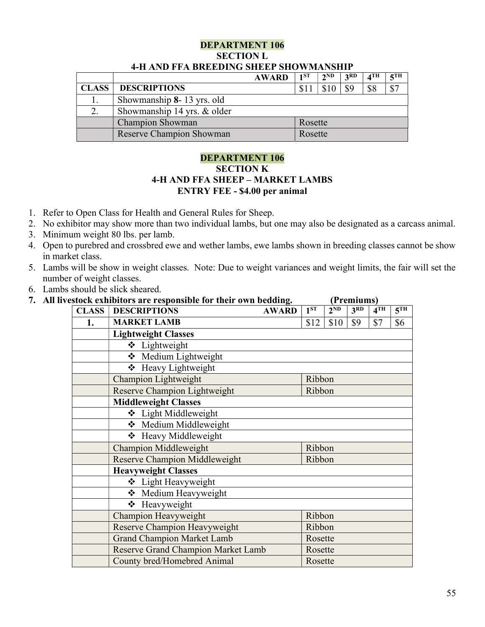### DEPARTMENT 106 SECTION L 4-H AND FFA BREEDING SHEEP SHOWMANSHIP

|              |                             | <b>AWARD</b> | 1 <sub>ST</sub> | $2^{\rm ND}$ | 2RD | $\mathbf{A}$ TH | $5$ TH |
|--------------|-----------------------------|--------------|-----------------|--------------|-----|-----------------|--------|
| <b>CLASS</b> | <b>DESCRIPTIONS</b>         |              |                 |              | \$9 | \$8             | \$7    |
|              | Showmanship 8-13 yrs. old   |              |                 |              |     |                 |        |
|              | Showmanship 14 yrs. & older |              |                 |              |     |                 |        |
|              | <b>Champion Showman</b>     |              | Rosette         |              |     |                 |        |
|              | Reserve Champion Showman    |              | Rosette         |              |     |                 |        |

# DEPARTMENT 106 SECTION K 4-H AND FFA SHEEP – MARKET LAMBS ENTRY FEE - \$4.00 per animal

- 1. Refer to Open Class for Health and General Rules for Sheep.
- 2. No exhibitor may show more than two individual lambs, but one may also be designated as a carcass animal.
- 3. Minimum weight 80 lbs. per lamb.
- 4. Open to purebred and crossbred ewe and wether lambs, ewe lambs shown in breeding classes cannot be show in market class.
- 5. Lambs will be show in weight classes. Note: Due to weight variances and weight limits, the fair will set the number of weight classes.
- 6. Lambs should be slick sheared.

|  |  |  | All livestock exhibitors are responsible for their own bedding. |                                                                                                                                                                                                                                     | (Premiums) |  |
|--|--|--|-----------------------------------------------------------------|-------------------------------------------------------------------------------------------------------------------------------------------------------------------------------------------------------------------------------------|------------|--|
|  |  |  |                                                                 | <u>ive</u> in the second of the second of the second of the second of the second of the second of the second of the second of the second of the second of the second of the second of the second of the second of the second of the |            |  |

| <b>CLASS</b> | <b>DESCRIPTIONS</b>                | <b>AWARD</b> | $1^{ST}$ | $2^{ND}$ | 3 <sup>RD</sup> | 4 <sup>TH</sup> | 5 <sup>TH</sup> |  |  |  |
|--------------|------------------------------------|--------------|----------|----------|-----------------|-----------------|-----------------|--|--|--|
| 1.           | <b>MARKET LAMB</b>                 |              | \$12     | \$10     | \$9             | \$7             | \$6             |  |  |  |
|              | <b>Lightweight Classes</b>         |              |          |          |                 |                 |                 |  |  |  |
|              | ❖ Lightweight                      |              |          |          |                 |                 |                 |  |  |  |
|              | Medium Lightweight                 |              |          |          |                 |                 |                 |  |  |  |
|              | ❖ Heavy Lightweight                |              |          |          |                 |                 |                 |  |  |  |
|              | <b>Champion Lightweight</b>        |              | Ribbon   |          |                 |                 |                 |  |  |  |
|              | Reserve Champion Lightweight       |              | Ribbon   |          |                 |                 |                 |  |  |  |
|              | <b>Middleweight Classes</b>        |              |          |          |                 |                 |                 |  |  |  |
|              | ❖ Light Middleweight               |              |          |          |                 |                 |                 |  |  |  |
|              | ❖ Medium Middleweight              |              |          |          |                 |                 |                 |  |  |  |
|              | ❖ Heavy Middleweight               |              |          |          |                 |                 |                 |  |  |  |
|              | <b>Champion Middleweight</b>       |              | Ribbon   |          |                 |                 |                 |  |  |  |
|              | Reserve Champion Middleweight      |              | Ribbon   |          |                 |                 |                 |  |  |  |
|              | <b>Heavyweight Classes</b>         |              |          |          |                 |                 |                 |  |  |  |
|              | ❖ Light Heavyweight                |              |          |          |                 |                 |                 |  |  |  |
|              | ❖ Medium Heavyweight               |              |          |          |                 |                 |                 |  |  |  |
|              | ❖ Heavyweight                      |              |          |          |                 |                 |                 |  |  |  |
|              | Champion Heavyweight<br>Ribbon     |              |          |          |                 |                 |                 |  |  |  |
|              | Reserve Champion Heavyweight       | Ribbon       |          |          |                 |                 |                 |  |  |  |
|              | <b>Grand Champion Market Lamb</b>  |              | Rosette  |          |                 |                 |                 |  |  |  |
|              | Reserve Grand Champion Market Lamb |              | Rosette  |          |                 |                 |                 |  |  |  |
|              | County bred/Homebred Animal        |              | Rosette  |          |                 |                 |                 |  |  |  |